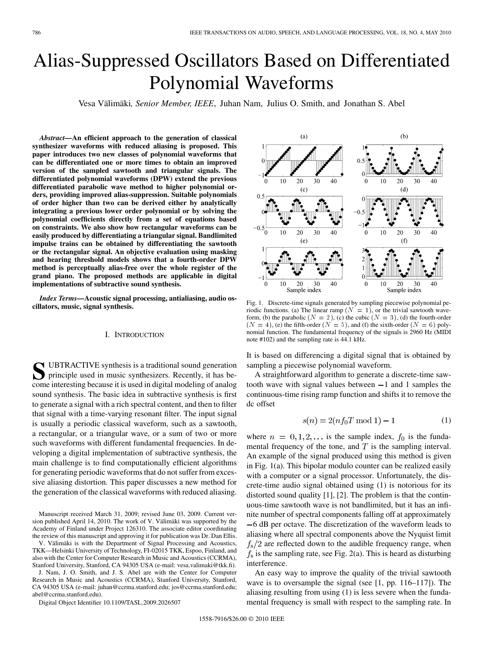# Alias-Suppressed Oscillators Based on Differentiated Polynomial Waveforms

Vesa Välimäki*, Senior Member, IEEE*, Juhan Nam, Julius O. Smith, and Jonathan S. Abel

*Abstract—***An efficient approach to the generation of classical synthesizer waveforms with reduced aliasing is proposed. This paper introduces two new classes of polynomial waveforms that can be differentiated one or more times to obtain an improved version of the sampled sawtooth and triangular signals. The differentiated polynomial waveforms (DPW) extend the previous differentiated parabolic wave method to higher polynomial orders, providing improved alias-suppression. Suitable polynomials of order higher than two can be derived either by analytically integrating a previous lower order polynomial or by solving the polynomial coefficients directly from a set of equations based on constraints. We also show how rectangular waveforms can be easily produced by differentiating a triangular signal. Bandlimited impulse trains can be obtained by differentiating the sawtooth or the rectangular signal. An objective evaluation using masking and hearing threshold models shows that a fourth-order DPW method is perceptually alias-free over the whole register of the grand piano. The proposed methods are applicable in digital implementations of subtractive sound synthesis.**

*Index Terms—***Acoustic signal processing, antialiasing, audio oscillators, music, signal synthesis.**

#### I. INTRODUCTION

**S** UBTRACTIVE synthesis is a traditional sound generation principle used in music synthesizers. Recently, it has become interesting because it is used in digital modeling of analog sound synthesis. The basic idea in subtractive synthesis is first to generate a signal with a rich spectral content, and then to filter that signal with a time-varying resonant filter. The input signal is usually a periodic classical waveform, such as a sawtooth, a rectangular, or a triangular wave, or a sum of two or more such waveforms with different fundamental frequencies. In developing a digital implementation of subtractive synthesis, the main challenge is to find computationally efficient algorithms for generating periodic waveforms that do not suffer from excessive aliasing distortion. This paper discusses a new method for the generation of the classical waveforms with reduced aliasing.

Manuscript received March 31, 2009; revised June 03, 2009. Current version published April 14, 2010. The work of V. Välimäki was supported by the Academy of Finland under Project 126310. The associate editor coordinating the review of this manuscript and approving it for publication was Dr. Dan Ellis.

V. Välimäki is with the Department of Signal Processing and Acoustics, TKK—Helsinki University of Technology, FI-02015 TKK, Espoo, Finland, and also with the Center for Computer Research in Music and Acoustics (CCRMA), Stanford University, Stanford, CA 94305 USA (e-mail: vesa.valimaki@tkk.fi).

J. Nam, J. O. Smith, and J. S. Abel are with the Center for Computer Research in Music and Acoustics (CCRMA), Stanford University, Stanford, CA 94305 USA (e-mail: juhan@ccrma.stanford.edu; jos@ccrma.stanford.edu; abel@ccrma.stanford.edu).

Digital Object Identifier 10.1109/TASL.2009.2026507



Fig. 1. Discrete-time signals generated by sampling piecewise polynomial periodic functions. (a) The linear ramp  $(N = 1)$ , or the trivial sawtooth waveform, (b) the parabolic  $(N = 2)$ , (c) the cubic  $(N = 3)$ , (d) the fourth-order  $(N = 4)$ , (e) the fifth-order  $(N = 5)$ , and (f) the sixth-order  $(N = 6)$  polynomial function. The fundamental frequency of the signals is 2960 Hz (MIDI note #102) and the sampling rate is 44.1 kHz.

It is based on differencing a digital signal that is obtained by sampling a piecewise polynomial waveform.

A straightforward algorithm to generate a discrete-time sawtooth wave with signal values between  $-1$  and 1 samples the continuous-time rising ramp function and shifts it to remove the dc offset

$$
s(n) = 2(n f_0 T \bmod 1) - 1
$$
 (1)

where  $n = 0, 1, 2, \dots$  is the sample index,  $f_0$  is the fundamental frequency of the tone, and  $T$  is the sampling interval. An example of the signal produced using this method is given in Fig. 1(a). This bipolar modulo counter can be realized easily with a computer or a signal processor. Unfortunately, the discrete-time audio signal obtained using (1) is notorious for its distorted sound quality [1], [2]. The problem is that the continuous-time sawtooth wave is not bandlimited, but it has an infinite number of spectral components falling off at approximately 6 dB per octave. The discretization of the waveform leads to aliasing where all spectral components above the Nyquist limit  $f_{\rm s}/2$  are reflected down to the audible frequency range, when  $f_s$  is the sampling rate, see Fig. 2(a). This is heard as disturbing interference.

An easy way to improve the quality of the trivial sawtooth wave is to oversample the signal (see [1, pp. 116–117]). The aliasing resulting from using (1) is less severe when the fundamental frequency is small with respect to the sampling rate. In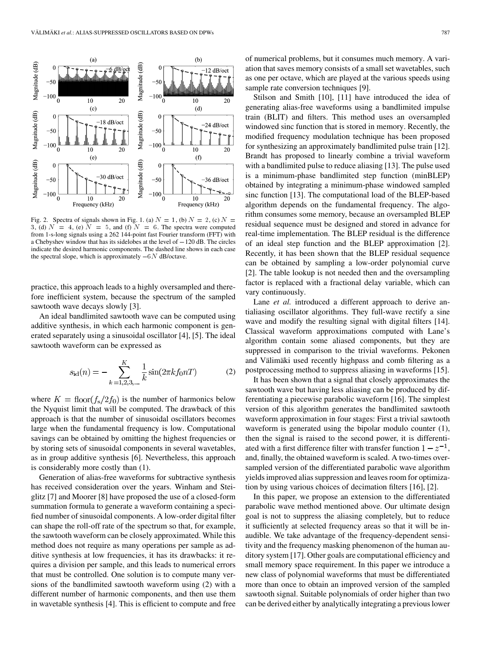

Fig. 2. Spectra of signals shown in Fig. 1. (a)  $N = 1$ , (b)  $N = 2$ , (c)  $N =$ 3, (d)  $N = 4$ , (e)  $N = 5$ , and (f)  $N = 6$ . The spectra were computed from 1-s-long signals using a 262 144-point fast Fourier transform (FFT) with Fig. 2. Spectra of signals shown in Fig. 1. (a)  $N = 1$ , (b)  $N = 2$ , (c)  $N = 3$ , (d)  $N = 4$ , (e)  $N = 5$ , and (f)  $N = 6$ . The spectra were computed from 1-s-long signals using a 262 144-point fast Fourier transform (FFT) wi indicate the desired harmonic components. The dashed line shows in each case a Chebyshev window that has its sidelobes at the level of  $-120$  dB. The circles indicate the desired harmonic components. The dashed line shows in each case the spectral slope, which is approximately  $-6N$  dB/octave.

practice, this approach leads to a highly oversampled and therefore inefficient system, because the spectrum of the sampled sawtooth wave decays slowly [3].

An ideal bandlimited sawtooth wave can be computed using additive synthesis, in which each harmonic component is generated separately using a sinusoidal oscillator [4], [5]. The ideal sawtooth waveform can be expressed as

$$
s_{\rm id}(n) = -\sum_{k=1,2,3,\dots}^{K} \frac{1}{k} \sin(2\pi k f_0 nT) \tag{2}
$$

where  $K = \text{floor}(f_s/2f_0)$  is the number of harmonics below the Nyquist limit that will be computed. The drawback of this approach is that the number of sinusoidal oscillators becomes large when the fundamental frequency is low. Computational savings can be obtained by omitting the highest frequencies or by storing sets of sinusoidal components in several wavetables, as in group additive synthesis [6]. Nevertheless, this approach is considerably more costly than (1).

Generation of alias-free waveforms for subtractive synthesis has received consideration over the years. Winham and Steiglitz [7] and Moorer [8] have proposed the use of a closed-form summation formula to generate a waveform containing a specified number of sinusoidal components. A low-order digital filter can shape the roll-off rate of the spectrum so that, for example, the sawtooth waveform can be closely approximated. While this method does not require as many operations per sample as additive synthesis at low frequencies, it has its drawbacks: it requires a division per sample, and this leads to numerical errors that must be controlled. One solution is to compute many versions of the bandlimited sawtooth waveform using (2) with a different number of harmonic components, and then use them in wavetable synthesis [4]. This is efficient to compute and free

of numerical problems, but it consumes much memory. A variation that saves memory consists of a small set wavetables, such as one per octave, which are played at the various speeds using sample rate conversion techniques [9].

Stilson and Smith [10], [11] have introduced the idea of generating alias-free waveforms using a bandlimited impulse train (BLIT) and filters. This method uses an oversampled windowed sinc function that is stored in memory. Recently, the modified frequency modulation technique has been proposed for synthesizing an approximately bandlimited pulse train [12]. Brandt has proposed to linearly combine a trivial waveform with a bandlimited pulse to reduce aliasing [13]. The pulse used is a minimum-phase bandlimited step function (minBLEP) obtained by integrating a minimum-phase windowed sampled sinc function [13]. The computational load of the BLEP-based algorithm depends on the fundamental frequency. The algorithm consumes some memory, because an oversampled BLEP residual sequence must be designed and stored in advance for real-time implementation. The BLEP residual is the difference of an ideal step function and the BLEP approximation [2]. Recently, it has been shown that the BLEP residual sequence can be obtained by sampling a low-order polynomial curve [2]. The table lookup is not needed then and the oversampling factor is replaced with a fractional delay variable, which can vary continuously.

Lane *et al.* introduced a different approach to derive antialiasing oscillator algorithms. They full-wave rectify a sine wave and modify the resulting signal with digital filters [14]. Classical waveform approximations computed with Lane's algorithm contain some aliased components, but they are suppressed in comparison to the trivial waveforms. Pekonen and Välimäki used recently highpass and comb filtering as a postprocessing method to suppress aliasing in waveforms [15].

It has been shown that a signal that closely approximates the sawtooth wave but having less aliasing can be produced by differentiating a piecewise parabolic waveform [16]. The simplest version of this algorithm generates the bandlimited sawtooth waveform approximation in four stages: First a trivial sawtooth waveform is generated using the bipolar modulo counter (1), then the signal is raised to the second power, it is differentiated with a first difference filter with transfer function  $1 - z^{-1}$ , and, finally, the obtained waveform is scaled. A two-times oversampled version of the differentiated parabolic wave algorithm yields improved alias suppression and leaves room for optimization by using various choices of decimation filters [16], [2].

In this paper, we propose an extension to the differentiated parabolic wave method mentioned above. Our ultimate design goal is not to suppress the aliasing completely, but to reduce it sufficiently at selected frequency areas so that it will be inaudible. We take advantage of the frequency-dependent sensitivity and the frequency masking phenomenon of the human auditory system [17]. Other goals are computational efficiency and small memory space requirement. In this paper we introduce a new class of polynomial waveforms that must be differentiated more than once to obtain an improved version of the sampled sawtooth signal. Suitable polynomials of order higher than two can be derived either by analytically integrating a previous lower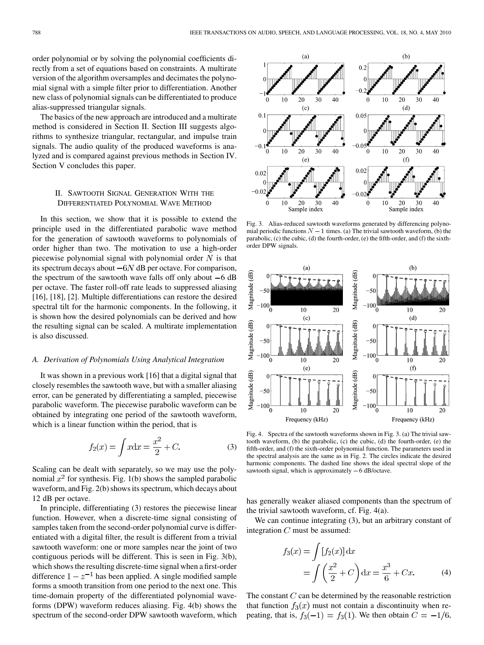order polynomial or by solving the polynomial coefficients directly from a set of equations based on constraints. A multirate version of the algorithm oversamples and decimates the polynomial signal with a simple filter prior to differentiation. Another new class of polynomial signals can be differentiated to produce alias-suppressed triangular signals.

The basics of the new approach are introduced and a multirate method is considered in Section II. Section III suggests algorithms to synthesize triangular, rectangular, and impulse train signals. The audio quality of the produced waveforms is analyzed and is compared against previous methods in Section IV. Section V concludes this paper.

## II. SAWTOOTH SIGNAL GENERATION WITH THE DIFFERENTIATED POLYNOMIAL WAVE METHOD

In this section, we show that it is possible to extend the principle used in the differentiated parabolic wave method for the generation of sawtooth waveforms to polynomials of order higher than two. The motivation to use a high-order piecewise polynomial signal with polynomial order  $N$  is that its spectrum decays about  $-6N$  dB per octave. For comparison, the spectrum of the sawtooth wave falls off only about  $-6$  dB per octave. The faster roll-off rate leads to suppressed aliasing [16], [18], [2]. Multiple differentiations can restore the desired spectral tilt for the harmonic components. In the following, it is shown how the desired polynomials can be derived and how the resulting signal can be scaled. A multirate implementation is also discussed.

### *A. Derivation of Polynomials Using Analytical Integration*

It was shown in a previous work [16] that a digital signal that closely resembles the sawtooth wave, but with a smaller aliasing error, can be generated by differentiating a sampled, piecewise parabolic waveform. The piecewise parabolic waveform can be obtained by integrating one period of the sawtooth waveform, which is a linear function within the period, that is

$$
f_2(x) = \int x \, dx = \frac{x^2}{2} + C. \tag{3}
$$

Scaling can be dealt with separately, so we may use the polynomial  $x^2$  for synthesis. Fig. 1(b) shows the sampled parabolic waveform, and Fig. 2(b) shows its spectrum, which decays about 12 dB per octave.

In principle, differentiating (3) restores the piecewise linear function. However, when a discrete-time signal consisting of samples taken from the second-order polynomial curve is differentiated with a digital filter, the result is different from a trivial sawtooth waveform: one or more samples near the joint of two contiguous periods will be different. This is seen in Fig. 3(b), which shows the resulting discrete-time signal when a first-order difference  $1 - z^{-1}$  has been applied. A single modified sample forms a smooth transition from one period to the next one. This time-domain property of the differentiated polynomial waveforms (DPW) waveform reduces aliasing. Fig. 4(b) shows the spectrum of the second-order DPW sawtooth waveform, which



Fig. 3. Alias-reduced sawtooth waveforms generated by differencing polynoparabolic, (c) the cubic, (d) the fourth-order, (e) the fifth-order, and (f) the sixthorder DPW signals.



Fig. 4. Spectra of the sawtooth waveforms shown in Fig. 3. (a) The trivial sawtooth waveform, (b) the parabolic, (c) the cubic, (d) the fourth-order, (e) the fifth-order, and (f) the sixth-order polynomial function. The parameters used in the spectral analysis are the same as in Fig. 2. The circles indicate the desired harmonic components. The dashed line shows the ideal spectr the spectral analysis are the same as in Fig. 2. The circles indicate the desired harmonic components. The dashed line shows the ideal spectral slope of the

has generally weaker aliased components than the spectrum of the trivial sawtooth waveform, cf. Fig. 4(a).

We can continue integrating (3), but an arbitrary constant of integration  $C$  must be assumed:

$$
f_3(x) = \int [f_2(x)] dx
$$
  
= 
$$
\int \left(\frac{x^2}{2} + C\right) dx = \frac{x^3}{6} + Cx.
$$
 (4)

The constant  $C$  can be determined by the reasonable restriction that function  $f_3(x)$  must not contain a discontinuity when repeating, that is,  $f_3(-1) = f_3(1)$ . We then obtain  $C = -1/6$ ,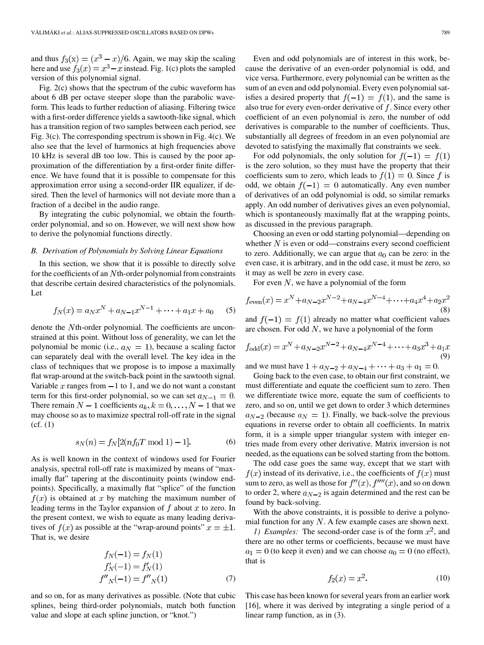and thus  $f_3(x) = (x^3 - x)/6$ . Again, we may skip the scaling here and use  $f_3(x) = x^3 - x$  instead. Fig. 1(c) plots the sampled version of this polynomial signal.

Fig. 2(c) shows that the spectrum of the cubic waveform has about 6 dB per octave steeper slope than the parabolic waveform. This leads to further reduction of aliasing. Filtering twice with a first-order difference yields a sawtooth-like signal, which has a transition region of two samples between each period, see Fig. 3(c). The corresponding spectrum is shown in Fig. 4(c). We also see that the level of harmonics at high frequencies above 10 kHz is several dB too low. This is caused by the poor approximation of the differentiation by a first-order finite difference. We have found that it is possible to compensate for this approximation error using a second-order IIR equalizer, if desired. Then the level of harmonics will not deviate more than a fraction of a decibel in the audio range.

By integrating the cubic polynomial, we obtain the fourthorder polynomial, and so on. However, we will next show how to derive the polynomial functions directly.

#### *B. Derivation of Polynomials by Solving Linear Equations*

In this section, we show that it is possible to directly solve for the coefficients of an  $N$ th-order polynomial from constraints that describe certain desired characteristics of the polynomials. Let

$$
f_N(x) = a_N x^N + a_{N-1} x^{N-1} + \dots + a_1 x + a_0 \tag{5}
$$

denote the  $N$ th-order polynomial. The coefficients are unconstrained at this point. Without loss of generality, we can let the polynomial be monic (i.e.,  $a_N = 1$ ), because a scaling factor can separately deal with the overall level. The key idea in the class of techniques that we propose is to impose a maximally flat wrap-around at the switch-back point in the sawtooth signal. Variable x ranges from  $-1$  to 1, and we do not want a constant term for this first-order polynomial, so we can set  $a_{N-1} = 0$ . There remain  $N-1$  coefficients  $a_k, k = 0, \ldots, N-1$  that we may choose so as to maximize spectral roll-off rate in the signal (cf. (1)

$$
s_N(n) = f_N[2(n f_0 T \bmod 1) - 1].
$$
 (6)

As is well known in the context of windows used for Fourier analysis, spectral roll-off rate is maximized by means of "maximally flat" tapering at the discontinuity points (window endpoints). Specifically, a maximally flat "splice" of the function  $f(x)$  is obtained at x by matching the maximum number of leading terms in the Taylor expansion of  $f$  about  $x$  to zero. In the present context, we wish to equate as many leading derivatives of  $f(x)$  as possible at the "wrap-around points"  $x = \pm 1$ . That is, we desire

$$
f_N(-1) = f_N(1)
$$
  
\n
$$
f'_N(-1) = f'_N(1)
$$
  
\n
$$
f''_N(-1) = f''_N(1)
$$
\n(7)

and so on, for as many derivatives as possible. (Note that cubic splines, being third-order polynomials, match both function value and slope at each spline junction, or "knot.")

Even and odd polynomials are of interest in this work, because the derivative of an even-order polynomial is odd, and vice versa. Furthermore, every polynomial can be written as the sum of an even and odd polynomial. Every even polynomial satisfies a desired property that  $f(-1) = f(1)$ , and the same is also true for every even-order derivative of  $f$ . Since every other coefficient of an even polynomial is zero, the number of odd derivatives is comparable to the number of coefficients. Thus, substantially all degrees of freedom in an even polynomial are devoted to satisfying the maximally flat constraints we seek.

For odd polynomials, the only solution for  $f(-1) = f(1)$ is the zero solution, so they must have the property that their coefficients sum to zero, which leads to  $f(1) = 0$ . Since f is odd, we obtain  $f(-1) = 0$  automatically. Any even number of derivatives of an odd polynomial is odd, so similar remarks apply. An odd number of derivatives gives an even polynomial, which is spontaneously maximally flat at the wrapping points, as discussed in the previous paragraph.

Choosing an even or odd starting polynomial—depending on whether  $N$  is even or odd—constrains every second coefficient to zero. Additionally, we can argue that  $a_0$  can be zero: in the even case, it is arbitrary, and in the odd case, it must be zero, so it may as well be zero in every case.

For even  $N$ , we have a polynomial of the form

$$
f_{\text{even}}(x) = x^N + a_{N-2}x^{N-2} + a_{N-4}x^{N-4} + \dots + a_4x^4 + a_2x^2
$$
\n(8)

and  $f(-1) = f(1)$  already no matter what coefficient values are chosen. For odd  $N$ , we have a polynomial of the form

$$
f_{\text{odd}}(x) = x^{N} + a_{N-2}x^{N-2} + a_{N-4}x^{N-4} + \dots + a_{3}x^{3} + a_{1}x
$$
\n(9)

and we must have  $1 + a_{N-2} + a_{N-4} + \cdots + a_3 + a_1 = 0$ .

Going back to the even case, to obtain our first constraint, we must differentiate and equate the coefficient sum to zero. Then we differentiate twice more, equate the sum of coefficients to zero, and so on, until we get down to order 3 which determines  $a_{N-2}$  (because  $a_N = 1$ ). Finally, we back-solve the previous equations in reverse order to obtain all coefficients. In matrix form, it is a simple upper triangular system with integer entries made from every other derivative. Matrix inversion is not needed, as the equations can be solved starting from the bottom.

The odd case goes the same way, except that we start with  $f(x)$  instead of its derivative, i.e., the coefficients of  $f(x)$  must sum to zero, as well as those for  $f''(x)$ ,  $f'''(x)$ , and so on down to order 2, where  $a_{N-2}$  is again determined and the rest can be found by back-solving.

With the above constraints, it is possible to derive a polynomial function for any  $N$ . A few example cases are shown next.

*1) Examples:* The second-order case is of the form  $x^2$ , and there are no other terms or coefficients, because we must have  $a_1 = 0$  (to keep it even) and we can choose  $a_0 = 0$  (no effect), that is

$$
f_2(x) = x^2. \tag{10}
$$

This case has been known for several years from an earlier work [16], where it was derived by integrating a single period of a linear ramp function, as in (3).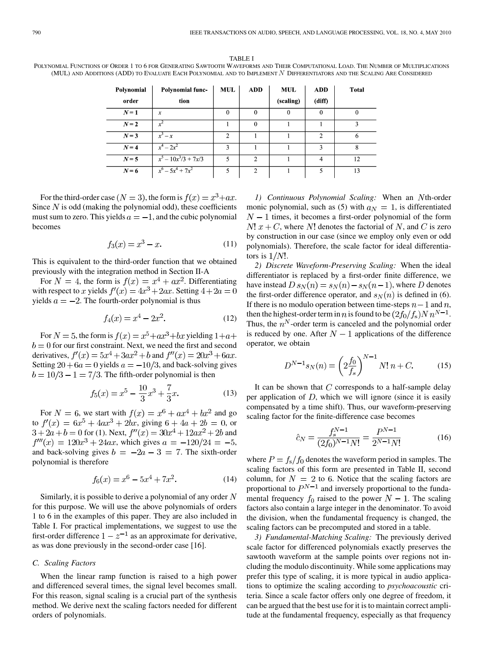TABLE I POLYNOMIAL FUNCTIONS OF ORDER 1 TO 6 FOR GENERATING SAWTOOTH WAVEFORMS AND THEIR COMPUTATIONAL LOAD. THE NUMBER OF MULTIPLICATIONS (MUL) AND ADDITIONS (ADD) TO EVALUATE EACH POLYNOMIAL AND TO IMPLEMENT N DIFFERENTIATORS AND THE SCALING ARE CONSIDERED

| Polynomial<br>order | Polynomial func-<br>tion | <b>MUL</b>   | <b>ADD</b>     | <b>MUL</b><br>(scaling) | <b>ADD</b><br>(diff) | <b>Total</b> |
|---------------------|--------------------------|--------------|----------------|-------------------------|----------------------|--------------|
| $N=1$               | x                        | $\Omega$     | $\Omega$       | $\Omega$                | $\theta$             | $\bf{0}$     |
| $N=2$               |                          |              | $\Omega$       |                         |                      |              |
| $N=3$               | $x^3-x$                  | $\mathbf{2}$ |                |                         | 2                    | 6            |
| $N=4$               | $x^4 - 2x^2$             | 3            |                |                         | 3                    | 8            |
| $N=5$               | $x^5 - 10x^3/3 + 7x/3$   | 5            | $\mathfrak{D}$ |                         | 4                    | 12           |
| $N=6$               | $x^6 - 5x^4 + 7x^2$      | 5.           | $\mathfrak{D}$ |                         | 5                    | 13           |

For the third-order case  $(N = 3)$ , the form is  $f(x) = x^3 + ax$ . Since  $N$  is odd (making the polynomial odd), these coefficients must sum to zero. This yields  $a = -1$ , and the cubic polynomial becomes

$$
f_3(x) = x^3 - x.\t(11)
$$

This is equivalent to the third-order function that we obtained previously with the integration method in Section II-A

For  $N = 4$ , the form is  $f(x) = x^4 + ax^2$ . Differentiating with respect to x yields  $f'(x) = 4x^3 + 2ax$ . Setting  $4 + 2a = 0$ yields  $a = -2$ . The fourth-order polynomial is thus

$$
f_4(x) = x^4 - 2x^2.
$$
 (12)

For  $N = 5$ , the form is  $f(x) = x^5 + ax^3 + bx$  yielding  $1 + a +$  $b = 0$  for our first constraint. Next, we need the first and second derivatives,  $f'(x) = 5x^4 + 3ax^2 + b$  and  $f''(x) = 20x^3 + 6ax$ . Setting  $20 + 6a = 0$  yields  $a = -10/3$ , and back-solving gives  $b = 10/3 - 1 = 7/3$ . The fifth-order polynomial is then

$$
f_5(x) = x^5 - \frac{10}{3}x^3 + \frac{7}{3}x.
$$
 (13)

For  $N = 6$ , we start with  $f(x) = x^6 + ax^4 + bx^2$  and go to  $f'(x) = 6x^5 + 4ax^3 + 2bx$ , giving  $6 + 4a + 2b = 0$ , or  $3+2a+b=0$  for (1). Next,  $f''(x) = 30x^4 + 12ax^2 + 2b$  and  $f'''(x) = 120x^3 + 24ax$ , which gives  $a = -120/24 = -5$ , and back-solving gives  $b = -2a - 3 = 7$ . The sixth-order polynomial is therefore

$$
f_6(x) = x^6 - 5x^4 + 7x^2.
$$
 (14)

Similarly, it is possible to derive a polynomial of any order  $N$ for this purpose. We will use the above polynomials of orders 1 to 6 in the examples of this paper. They are also included in Table I. For practical implementations, we suggest to use the first-order difference  $1 - z^{-1}$  as an approximate for derivative, as was done previously in the second-order case [16].

## *C. Scaling Factors*

When the linear ramp function is raised to a high power and differenced several times, the signal level becomes small. For this reason, signal scaling is a crucial part of the synthesis method. We derive next the scaling factors needed for different orders of polynomials.

1) Continuous Polynomial Scaling: When an Nth-order monic polynomial, such as (5) with  $a_N = 1$ , is differentiated  $N-1$  times, it becomes a first-order polynomial of the form  $N! x + C$ , where N! denotes the factorial of N, and C is zero by construction in our case (since we employ only even or odd polynomials). Therefore, the scale factor for ideal differentiators is  $1/N!$ .

*2) Discrete Waveform-Preserving Scaling:* When the ideal differentiator is replaced by a first-order finite difference, we have instead  $D s_N(n) = s_N(n) - s_N(n-1)$ , where D denotes the first-order difference operator, and  $s_N(n)$  is defined in (6). If there is no modulo operation between time-steps  $n-1$  and  $n$ , then the highest-order term in n is found to be  $\left(2f_0/f_s\right)N n^{N-1}$ . Thus, the  $n^N$ -order term is canceled and the polynomial order is reduced by one. After  $N-1$  applications of the difference operator, we obtain

$$
D^{N-1}s_N(n) = \left(2\frac{f_0}{f_s}\right)^{N-1} N! \; n + C. \tag{15}
$$

It can be shown that  $C$  corresponds to a half-sample delay per application of  $D$ , which we will ignore (since it is easily compensated by a time shift). Thus, our waveform-preserving scaling factor for the finite-difference case becomes

$$
\hat{c}_N = \frac{f_s^{N-1}}{(2f_0)^{N-1}N!} = \frac{P^{N-1}}{2^{N-1}N!}
$$
 (16)

where  $P = f_s/f_0$  denotes the waveform period in samples. The scaling factors of this form are presented in Table II, second column, for  $N = 2$  to 6. Notice that the scaling factors are proportional to  $P^{N-1}$  and inversely proportional to the fundamental frequency  $f_0$  raised to the power  $N-1$ . The scaling factors also contain a large integer in the denominator. To avoid the division, when the fundamental frequency is changed, the scaling factors can be precomputed and stored in a table.

*3) Fundamental-Matching Scaling:* The previously derived scale factor for differenced polynomials exactly preserves the sawtooth waveform at the sample points over regions not including the modulo discontinuity. While some applications may prefer this type of scaling, it is more typical in audio applications to optimize the scaling according to *psychoacoustic* criteria. Since a scale factor offers only one degree of freedom, it can be argued that the best use for it is to maintain correct amplitude at the fundamental frequency, especially as that frequency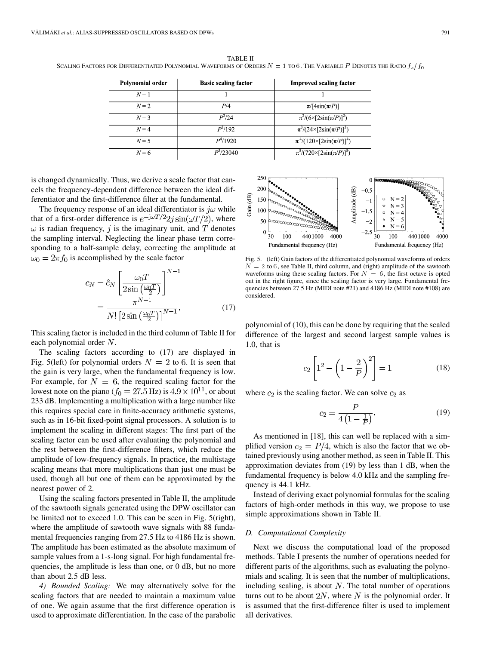TABLE II SCALING FACTORS FOR DIFFERENTIATED POLYNOMIAL WAVEFORMS OF ORDERS  $N=1$  to 6. The VARIABLE P DENOTES THE RATIO  $f_s/f$ 

| Polynomial order | <b>Basic scaling factor</b> | <b>Improved scaling factor</b>           |
|------------------|-----------------------------|------------------------------------------|
| $N=1$            |                             |                                          |
| $N=2$            | P/4                         | $\pi/[4\sin(\pi/P)]$                     |
| $N=3$            | $P^2/24$                    | $\pi^2/(6\times [2\sin(\pi/P)]^2)$       |
| $N=4$            | $P^3/192$                   | $\pi^3/(24\times [2\sin(\pi/P)]^3)$      |
| $N=5$            | $P^4$ /1920                 | $\pi^{4}/(120\times [2\sin(\pi/P)]^{4})$ |
| $N=6$            | P <sup>5</sup> /23040       | $\pi^5/(720\times [2\sin(\pi/P)]^5)$     |

250

is changed dynamically. Thus, we derive a scale factor that cancels the frequency-dependent difference between the ideal differentiator and the first-difference filter at the fundamental.

The frequency response of an ideal differentiator is  $j\omega$  while that of a first-order difference is  $e^{-j\omega T/2}2j\sin(\omega T/2)$ , where  $\omega$  is radian frequency, j is the imaginary unit, and T denotes the sampling interval. Neglecting the linear phase term corresponding to a half-sample delay, correcting the amplitude at  $\omega_0 = 2\pi f_0$  is accomplished by the scale factor

$$
c_N = \hat{c}_N \left[ \frac{\omega_0 T}{2 \sin\left(\frac{\omega_0 T}{2}\right)} \right]^{N-1}
$$

$$
= \frac{\pi^{N-1}}{N! \left[ 2 \sin\left(\frac{\omega_0 T}{2}\right) \right]^{N-1}}.
$$
(17)

This scaling factor is included in the third column of Table II for each polynomial order  $N$ .

The scaling factors according to (17) are displayed in Fig. 5(left) for polynomial orders  $N = 2$  to 6. It is seen that the gain is very large, when the fundamental frequency is low. For example, for  $N = 6$ , the required scaling factor for the lowest note on the piano ( $f_0 = 27.5$  Hz) is  $4.9 \times 10^{11}$ , or about 233 dB. Implementing a multiplication with a large number like this requires special care in finite-accuracy arithmetic systems, such as in 16-bit fixed-point signal processors. A solution is to implement the scaling in different stages: The first part of the scaling factor can be used after evaluating the polynomial and the rest between the first-difference filters, which reduce the amplitude of low-frequency signals. In practice, the multistage scaling means that more multiplications than just one must be used, though all but one of them can be approximated by the nearest power of 2.

Using the scaling factors presented in Table II, the amplitude of the sawtooth signals generated using the DPW oscillator can be limited not to exceed 1.0. This can be seen in Fig. 5(right), where the amplitude of sawtooth wave signals with 88 fundamental frequencies ranging from 27.5 Hz to 4186 Hz is shown. The amplitude has been estimated as the absolute maximum of sample values from a 1-s-long signal. For high fundamental frequencies, the amplitude is less than one, or 0 dB, but no more than about 2.5 dB less.

*4) Bounded Scaling:* We may alternatively solve for the scaling factors that are needed to maintain a maximum value of one. We again assume that the first difference operation is used to approximate differentiation. In the case of the parabolic



Fig. 5. (left) Gain factors of the differentiated polynomial waveforms of orders  $N = 2$  to 6, see Table II, third column, and (right) amplitude of the sawtooth waveforms using these scaling factors. For  $N = 6$ , the first octave is opted out in the right figure, since the scaling factor is very large. Fundamental frequencies between 27.5 Hz (MIDI note #21) and 4186 Hz (MIDI note #108) are considered.

polynomial of (10), this can be done by requiring that the scaled difference of the largest and second largest sample values is 1.0, that is

$$
c_2 \left[ 1^2 - \left( 1 - \frac{2}{P} \right)^2 \right] = 1 \tag{18}
$$

where  $c_2$  is the scaling factor. We can solve  $c_2$  as

$$
c_2 = \frac{P}{4\left(1 - \frac{1}{P}\right)}.\t(19)
$$

As mentioned in [18], this can well be replaced with a simplified version  $c_2 = P/4$ , which is also the factor that we obtained previously using another method, as seen in Table II. This approximation deviates from (19) by less than 1 dB, when the fundamental frequency is below 4.0 kHz and the sampling frequency is 44.1 kHz.

Instead of deriving exact polynomial formulas for the scaling factors of high-order methods in this way, we propose to use simple approximations shown in Table II.

### *D. Computational Complexity*

Next we discuss the computational load of the proposed methods. Table I presents the number of operations needed for different parts of the algorithms, such as evaluating the polynomials and scaling. It is seen that the number of multiplications, including scaling, is about  $N$ . The total number of operations turns out to be about  $2N$ , where N is the polynomial order. It is assumed that the first-difference filter is used to implement all derivatives.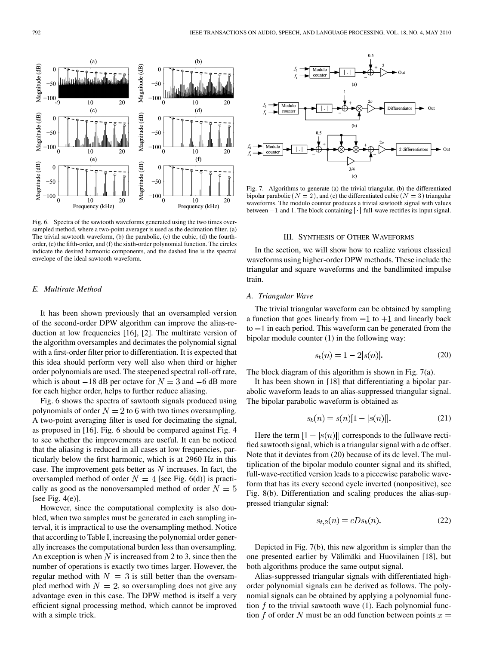

Fig. 6. Spectra of the sawtooth waveforms generated using the two times oversampled method, where a two-point averager is used as the decimation filter. (a) The trivial sawtooth waveform, (b) the parabolic, (c) the cubic, (d) the fourthorder, (e) the fifth-order, and (f) the sixth-order polynomial function. The circles indicate the desired harmonic components, and the dashed line is the spectral envelope of the ideal sawtooth waveform.

#### *E. Multirate Method*

It has been shown previously that an oversampled version of the second-order DPW algorithm can improve the alias-reduction at low frequencies [16], [2]. The multirate version of the algorithm oversamples and decimates the polynomial signal with a first-order filter prior to differentiation. It is expected that this idea should perform very well also when third or higher order polynomials are used. The steepened spectral roll-off rate, which is about  $-18$  dB per octave for  $N = 3$  and  $-6$  dB more for each higher order, helps to further reduce aliasing.

Fig. 6 shows the spectra of sawtooth signals produced using polynomials of order  $N = 2$  to 6 with two times oversampling. A two-point averaging filter is used for decimating the signal, as proposed in [16]. Fig. 6 should be compared against Fig. 4 to see whether the improvements are useful. It can be noticed that the aliasing is reduced in all cases at low frequencies, particularly below the first harmonic, which is at 2960 Hz in this case. The improvement gets better as  $N$  increases. In fact, the oversampled method of order  $N = 4$  [see Fig. 6(d)] is practically as good as the nonoversampled method of order  $N = 5$ [see Fig.  $4(e)$ ].

However, since the computational complexity is also doubled, when two samples must be generated in each sampling interval, it is impractical to use the oversampling method. Notice that according to Table I, increasing the polynomial order generally increases the computational burden less than oversampling. An exception is when N is increased from 2 to 3, since then the number of operations is exactly two times larger. However, the regular method with  $N = 3$  is still better than the oversampled method with  $N = 2$ , so oversampling does not give any advantage even in this case. The DPW method is itself a very efficient signal processing method, which cannot be improved with a simple trick.



Fig. 7. Algorithms to generate (a) the trivial triangular, (b) the differentiated bipolar parabolic ( $N = 2$ ), and (c) the differentiated cubic ( $N = 3$ ) triangular waveforms. The modulo counter produces a trivial sawtooth bipolar parabolic ( $N = 2$ ), and (c) the differentiated cubic ( $N = 3$ ) triangular waveforms. The modulo counter produces a trivial sawtooth signal with values between  $-1$  and 1. The block containing  $|\cdot|$  full-wave rectifies its input signal.

#### III. SYNTHESIS OF OTHER WAVEFORMS

In the section, we will show how to realize various classical waveforms using higher-order DPW methods. These include the triangular and square waveforms and the bandlimited impulse train.

#### *A. Triangular Wave*

The trivial triangular waveform can be obtained by sampling a function that goes linearly from  $-1$  to  $+1$  and linearly back to  $-1$  in each period. This waveform can be generated from the bipolar module counter (1) in the following way:

$$
s_t(n) = 1 - 2|s(n)|.
$$
 (20)

The block diagram of this algorithm is shown in Fig. 7(a).

It has been shown in [18] that differentiating a bipolar parabolic waveform leads to an alias-suppressed triangular signal. The bipolar parabolic waveform is obtained as

$$
s_b(n) = s(n)[1 - |s(n)|].
$$
 (21)

Here the term  $[1 - |s(n)|]$  corresponds to the fullwave rectified sawtooth signal, which is a triangular signal with a dc offset. Note that it deviates from (20) because of its dc level. The multiplication of the bipolar modulo counter signal and its shifted, full-wave-rectified version leads to a piecewise parabolic waveform that has its every second cycle inverted (nonpositive), see Fig. 8(b). Differentiation and scaling produces the alias-suppressed triangular signal:

$$
s_{t,2}(n) = cDs_b(n). \tag{22}
$$

Depicted in Fig. 7(b), this new algorithm is simpler than the one presented earlier by Välimäki and Huovilainen [18], but both algorithms produce the same output signal.

Alias-suppressed triangular signals with differentiated highorder polynomial signals can be derived as follows. The polynomial signals can be obtained by applying a polynomial function  $f$  to the trivial sawtooth wave (1). Each polynomial function f of order N must be an odd function between points  $x =$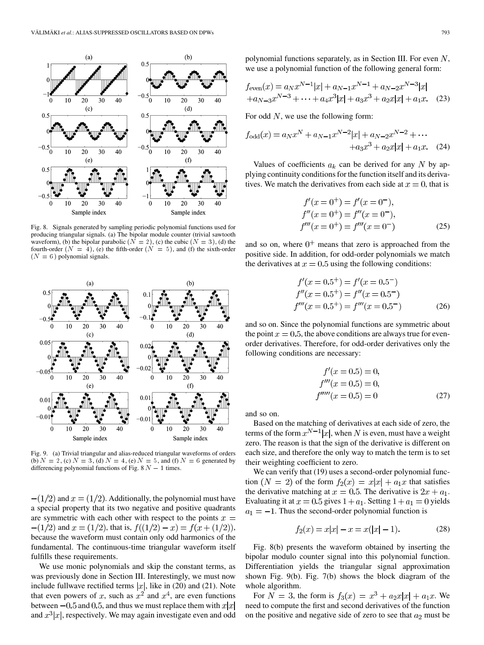

Fig. 8. Signals generated by sampling periodic polynomial functions used for producing triangular signals. (a) The bipolar module counter (trivial sawtooth waveform), (b) the bipolar parabolic ( $\overline{N} = 2$ ), (c) the cubic ( $\overline{N} = 3$ ), (d) the fourth-order  $(N = 4)$ , (e) the fifth-order  $(N = 5)$ , and (f) the sixth-order  $(N = 6)$  polynomial signals.



Fig. 9. (a) Trivial triangular and alias-reduced triangular waveforms of orders (b)  $N = 2$ , (c)  $N = 3$ , (d)  $N = 4$ , (e)  $N = 5$ , and (f)  $N = 6$  generated by Fig. 9. (a) Trivial triangular and alias-reduced triangular<br>(b)  $N = 2$ , (c)  $N = 3$ , (d)  $N = 4$ , (e)  $N = 5$ , and (f) differencing polynomial functions of Fig. 8  $N - 1$  times.

 $-(1/2)$  and  $x = (1/2)$ . Additionally, the polynomial must have a special property that its two negative and positive quadrants are symmetric with each other with respect to the points  $x =$  $-(1/2)$  and  $x = (1/2)$ , that is,  $f((1/2) - x) = f(x + (1/2))$ , because the waveform must contain only odd harmonics of the fundamental. The continuous-time triangular waveform itself fulfills these requirements.

We use monic polynomials and skip the constant terms, as was previously done in Section III. Interestingly, we must now include fullwave rectified terms  $|x|$ , like in (20) and (21). Note that even powers of x, such as  $x^2$  and  $x^4$ , are even functions between  $-0.5$  and 0.5, and thus we must replace them with  $x|x|$ and  $x^3|x|$ , respectively. We may again investigate even and odd polynomial functions separately, as in Section III. For even  $N$ , we use a polynomial function of the following general form:

$$
f_{\text{even}}(x) = a_N x^{N-1} |x| + a_{N-1} x^{N-1} + a_{N-2} x^{N-3} |x|
$$
  
+a\_{N-3} x^{N-3} + \dots + a\_4 x^3 |x| + a\_3 x^3 + a\_2 x |x| + a\_1 x. (23)

For odd  $N$ , we use the following form:

$$
f_{\text{odd}}(x) = a_N x^N + a_{N-1} x^{N-2} |x| + a_{N-2} x^{N-2} + \cdots
$$

$$
+ a_3 x^3 + a_2 x |x| + a_1 x. \quad (24)
$$

Values of coefficients  $a_k$  can be derived for any N by applying continuity conditions for the function itself and its derivatives. We match the derivatives from each side at  $x = 0$ , that is

$$
f'(x = 0^{+}) = f'(x = 0^{-}),
$$
  
\n
$$
f''(x = 0^{+}) = f''(x = 0^{-}),
$$
  
\n
$$
f'''(x = 0^{+}) = f'''(x = 0^{-})
$$
\n(25)

and so on, where  $0^+$  means that zero is approached from the positive side. In addition, for odd-order polynomials we match the derivatives at  $x = 0.5$  using the following conditions:

$$
f'(x = 0.5^{+}) = f'(x = 0.5^{-})
$$
  
\n
$$
f''(x = 0.5^{+}) = f''(x = 0.5^{-})
$$
  
\n
$$
f'''(x = 0.5^{+}) = f'''(x = 0.5^{-})
$$
\n(26)

and so on. Since the polynomial functions are symmetric about the point  $x = 0.5$ , the above conditions are always true for evenorder derivatives. Therefore, for odd-order derivatives only the following conditions are necessary:

$$
f'(x = 0.5) = 0,\n f'''(x = 0.5) = 0,\n f'''''(x = 0.5) = 0
$$
\n(27)

and so on.

Based on the matching of derivatives at each side of zero, the terms of the form  $x^{N-1}|x|$ , when N is even, must have a weight zero. The reason is that the sign of the derivative is different on each size, and therefore the only way to match the term is to set their weighting coefficient to zero.

We can verify that (19) uses a second-order polynomial function  $(N = 2)$  of the form  $f_2(x) = x|x| + a_1x$  that satisfies the derivative matching at  $x = 0.5$ . The derivative is  $2x + a_1$ . Evaluating it at  $x = 0.5$  gives  $1 + a_1$ . Setting  $1 + a_1 = 0$  yields  $a_1 = -1$ . Thus the second-order polynomial function is

$$
f_2(x) = x|x| - x = x(|x| - 1).
$$
 (28)

Fig. 8(b) presents the waveform obtained by inserting the bipolar modulo counter signal into this polynomial function. Differentiation yields the triangular signal approximation shown Fig. 9(b). Fig. 7(b) shows the block diagram of the whole algorithm.

For  $N = 3$ , the form is  $f_3(x) = x^3 + a_2x|x| + a_1x$ . We need to compute the first and second derivatives of the function on the positive and negative side of zero to see that  $a_2$  must be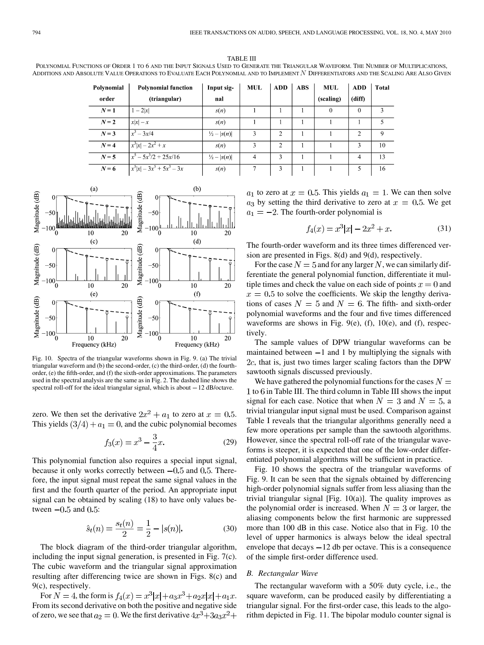| TABLE III                                                                                                                               |
|-----------------------------------------------------------------------------------------------------------------------------------------|
| POLYNOMIAL FUNCTIONS OF ORDER 1 TO 6 AND THE INPUT SIGNALS USED TO GENERATE THE TRIANGULAR WAVEFORM. THE NUMBER OF MULTIPLICATIONS,     |
| Additions and Absolute Value Operations to Evaluate Each Polynomial and to Implement $N$ Differentiators and the Scaling Are Also Given |

| Polynomial | <b>Polynomial function</b>     | Input sig-             | <b>MUL</b>     | <b>ADD</b>     | <b>ABS</b> | <b>MUL</b> | <b>ADD</b>     | <b>Total</b> |
|------------|--------------------------------|------------------------|----------------|----------------|------------|------------|----------------|--------------|
| order      | (triangular)                   | nal                    |                |                |            | (scaling)  | (diff)         |              |
| $N=1$      | $1 - 2 x $                     | s(n)                   |                |                |            | 0          | $\Omega$       |              |
| $N=2$      | $ x x  - x$                    | s(n)                   |                |                |            |            |                |              |
| $N=3$      | $x^3 - 3x/4$                   | $\frac{1}{2} -  s(n) $ | 3              | $\mathfrak{D}$ |            |            | $\mathfrak{D}$ | 9            |
| $N=4$      | $ x^3 x  - 2x^2 + x$           | s(n)                   | 3              | $\mathfrak{D}$ |            |            | 3              | 10           |
| $N=5$      | $\sqrt{x^5 - 5x^3/2} + 25x/16$ | $\frac{1}{2} -  s(n) $ | $\overline{4}$ | 3              |            |            | 4              | 13           |
| $N=6$      | $x^5 x  - 3x^5 + 5x^3 - 3x$    | s(n)                   | 7              | 3              |            |            | 5              | 16           |



Fig. 10. Spectra of the triangular waveforms shown in Fig. 9. (a) The trivial triangular waveform and (b) the second-order, (c) the third-order, (d) the fourthorder, (e) the fifth-order, and (f) the sixth-order approximations. The parameters used in the spectral analysis are the same as in Fig. 2. The dashed line shows the spectral roll-off for the ideal triangular signal, which is about  $-12$  dB/octave.

zero. We then set the derivative  $2x^2 + a_1$  to zero at  $x = 0.5$ . This yields  $(3/4) + a_1 = 0$ , and the cubic polynomial becomes

$$
f_3(x) = x^3 - \frac{3}{4}x.\t(29)
$$

This polynomial function also requires a special input signal, because it only works correctly between  $-0.5$  and 0.5. Therefore, the input signal must repeat the same signal values in the first and the fourth quarter of the period. An appropriate input signal can be obtained by scaling (18) to have only values between  $-0.5$  and  $0.5$ :

$$
\hat{s}_t(n) = \frac{s_t(n)}{2} = \frac{1}{2} - |s(n)|. \tag{30}
$$

The block diagram of the third-order triangular algorithm, including the input signal generation, is presented in Fig. 7(c). The cubic waveform and the triangular signal approximation resulting after differencing twice are shown in Figs. 8(c) and 9(c), respectively.

For  $N = 4$ , the form is  $f_4(x) = x^3|x| + a_3x^3 + a_2x|x| + a_1x$ . From its second derivative on both the positive and negative side of zero, we see that  $a_2 = 0$ . We the first derivative  $4x^3 + 3a_3x^2 +$ 

 $a_1$  to zero at  $x = 0.5$ . This yields  $a_1 = 1$ . We can then solve  $a_3$  by setting the third derivative to zero at  $x = 0.5$ . We get  $a_1 = -2$ . The fourth-order polynomial is

$$
f_4(x) = x^3|x| - 2x^2 + x.
$$
 (31)

The fourth-order waveform and its three times differenced version are presented in Figs. 8(d) and 9(d), respectively.

For the case  $N = 5$  and for any larger N, we can similarly differentiate the general polynomial function, differentiate it multiple times and check the value on each side of points  $x = 0$  and  $x = 0.5$  to solve the coefficients. We skip the lengthy derivations of cases  $N = 5$  and  $N = 6$ . The fifth- and sixth-order polynomial waveforms and the four and five times differenced waveforms are shows in Fig. 9(e),  $(f)$ ,  $10(e)$ , and  $(f)$ , respectively.

The sample values of DPW triangular waveforms can be maintained between  $-1$  and 1 by multiplying the signals with  $2c$ , that is, just two times larger scaling factors than the DPW sawtooth signals discussed previously.

We have gathered the polynomial functions for the cases  $N =$ 1 to 6 in Table III. The third column in Table III shows the input signal for each case. Notice that when  $N = 3$  and  $N = 5$ , a trivial triangular input signal must be used. Comparison against Table I reveals that the triangular algorithms generally need a few more operations per sample than the sawtooth algorithms. However, since the spectral roll-off rate of the triangular waveforms is steeper, it is expected that one of the low-order differentiated polynomial algorithms will be sufficient in practice.

Fig. 10 shows the spectra of the triangular waveforms of Fig. 9. It can be seen that the signals obtained by differencing high-order polynomial signals suffer from less aliasing than the trivial triangular signal [Fig.  $10(a)$ ]. The quality improves as the polynomial order is increased. When  $N = 3$  or larger, the aliasing components below the first harmonic are suppressed more than 100 dB in this case. Notice also that in Fig. 10 the level of upper harmonics is always below the ideal spectral envelope that decays  $-12$  db per octave. This is a consequence of the simple first-order difference used.

### *B. Rectangular Wave*

The rectangular waveform with a 50% duty cycle, i.e., the square waveform, can be produced easily by differentiating a triangular signal. For the first-order case, this leads to the algorithm depicted in Fig. 11. The bipolar modulo counter signal is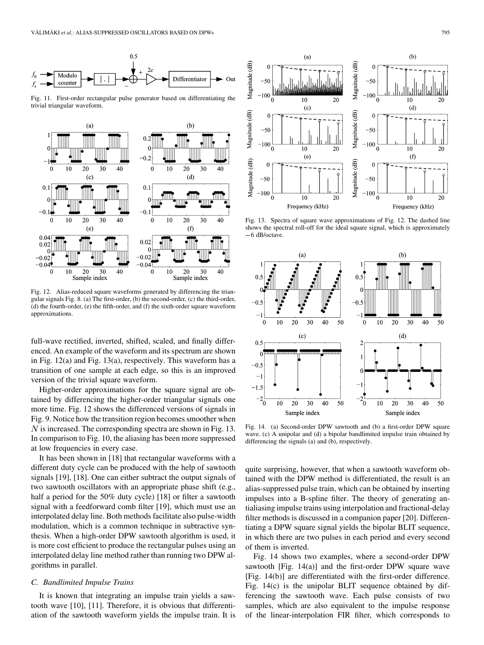

Fig. 11. First-order rectangular pulse generator based on differentiating the trivial triangular waveform.



Fig. 12. Alias-reduced square waveforms generated by differencing the triangular signals Fig. 8. (a) The first-order, (b) the second-order, (c) the third-order, (d) the fourth-order, (e) the fifth-order, and (f) the sixth-order square waveform approximations.

full-wave rectified, inverted, shifted, scaled, and finally differenced. An example of the waveform and its spectrum are shown in Fig. 12(a) and Fig. 13(a), respectively. This waveform has a transition of one sample at each edge, so this is an improved version of the trivial square waveform.

Higher-order approximations for the square signal are obtained by differencing the higher-order triangular signals one more time. Fig. 12 shows the differenced versions of signals in Fig. 9. Notice how the transition region becomes smoother when  $N$  is increased. The corresponding spectra are shown in Fig. 13. In comparison to Fig. 10, the aliasing has been more suppressed at low frequencies in every case.

It has been shown in [18] that rectangular waveforms with a different duty cycle can be produced with the help of sawtooth signals [19], [18]. One can either subtract the output signals of two sawtooth oscillators with an appropriate phase shift (e.g., half a period for the 50% duty cycle) [18] or filter a sawtooth signal with a feedforward comb filter [19], which must use an interpolated delay line. Both methods facilitate also pulse-width modulation, which is a common technique in subtractive synthesis. When a high-order DPW sawtooth algorithm is used, it is more cost efficient to produce the rectangular pulses using an interpolated delay line method rather than running two DPW algorithms in parallel.

## *C. Bandlimited Impulse Trains*

It is known that integrating an impulse train yields a sawtooth wave [10], [11]. Therefore, it is obvious that differentiation of the sawtooth waveform yields the impulse train. It is



Fig. 13. Spectra of square wave approximations of Fig. 12. The dashed line shows the spectral roll-off for the ideal square signal, which is approximately  $-6$  dB/octave.



Fig. 14. (a) Second-order DPW sawtooth and (b) a first-order DPW square wave. (c) A unipolar and (d) a bipolar bandlimited impulse train obtained by differencing the signals (a) and (b), respectively.

quite surprising, however, that when a sawtooth waveform obtained with the DPW method is differentiated, the result is an alias-suppressed pulse train, which can be obtained by inserting impulses into a B-spline filter. The theory of generating antialiasing impulse trains using interpolation and fractional-delay filter methods is discussed in a companion paper [20]. Differentiating a DPW square signal yields the bipolar BLIT sequence, in which there are two pulses in each period and every second of them is inverted.

Fig. 14 shows two examples, where a second-order DPW sawtooth [Fig.  $14(a)$ ] and the first-order DPW square wave [Fig. 14(b)] are differentiated with the first-order difference. Fig. 14(c) is the unipolar BLIT sequence obtained by differencing the sawtooth wave. Each pulse consists of two samples, which are also equivalent to the impulse response of the linear-interpolation FIR filter, which corresponds to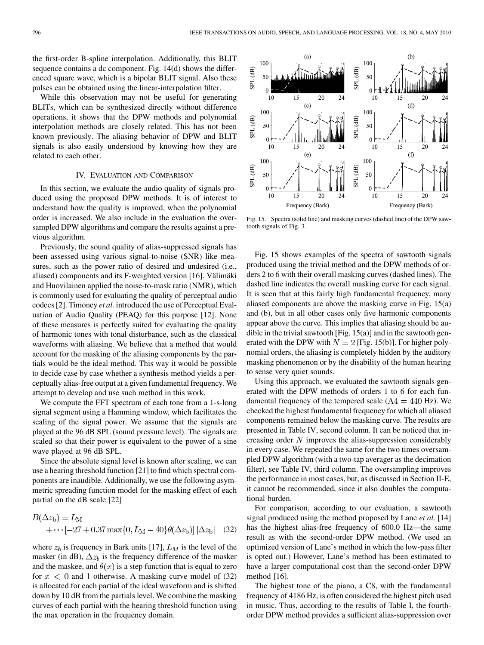the first-order B-spline interpolation. Additionally, this BLIT sequence contains a dc component. Fig. 14(d) shows the differenced square wave, which is a bipolar BLIT signal. Also these pulses can be obtained using the linear-interpolation filter.

While this observation may not be useful for generating BLITs, which can be synthesized directly without difference operations, it shows that the DPW methods and polynomial interpolation methods are closely related. This has not been known previously. The aliasing behavior of DPW and BLIT signals is also easily understood by knowing how they are related to each other.

#### IV. EVALUATION AND COMPARISON

In this section, we evaluate the audio quality of signals produced using the proposed DPW methods. It is of interest to understand how the quality is improved, when the polynomial order is increased. We also include in the evaluation the oversampled DPW algorithms and compare the results against a previous algorithm.

Previously, the sound quality of alias-suppressed signals has been assessed using various signal-to-noise (SNR) like measures, such as the power ratio of desired and undesired (i.e., aliased) components and its F-weighted version [16]. Välimäki and Huovilainen applied the noise-to-mask ratio (NMR), which is commonly used for evaluating the quality of perceptual audio codecs [2]. Timoney *et al.* introduced the use of Perceptual Evaluation of Audio Quality (PEAQ) for this purpose [12]. None of these measures is perfectly suited for evaluating the quality of harmonic tones with tonal disturbance, such as the classical waveforms with aliasing. We believe that a method that would account for the masking of the aliasing components by the partials would be the ideal method. This way it would be possible to decide case by case whether a synthesis method yields a perceptually alias-free output at a given fundamental frequency. We attempt to develop and use such method in this work.

We compute the FFT spectrum of each tone from a 1-s-long signal segment using a Hamming window, which facilitates the scaling of the signal power. We assume that the signals are played at the 96 dB SPL (sound pressure level). The signals are scaled so that their power is equivalent to the power of a sine wave played at 96 dB SPL.

Since the absolute signal level is known after scaling, we can use a hearing threshold function [21] to find which spectral components are inaudible. Additionally, we use the following asymmetric spreading function model for the masking effect of each partial on the dB scale [22]

$$
B(\Delta z_{\rm b}) = L_{\rm M} + \cdots [-27 + 0.37 \max\{0, L_{\rm M} - 40\} \theta(\Delta z_{\rm b})] |\Delta z_{\rm b}| \quad (32)
$$

where  $z_b$  is frequency in Bark units [17],  $L_M$  is the level of the masker (in dB),  $\Delta z_b$  is the frequency difference of the masker and the maskee, and  $\theta(x)$  is a step function that is equal to zero for  $x < 0$  and 1 otherwise. A masking curve model of (32) is allocated for each partial of the ideal waveform and is shifted down by 10 dB from the partials level. We combine the masking curves of each partial with the hearing threshold function using the max operation in the frequency domain.



Fig. 15. Spectra (solid line) and masking curves (dashed line) of the DPW sawtooth signals of Fig. 3.

Fig. 15 shows examples of the spectra of sawtooth signals produced using the trivial method and the DPW methods of orders 2 to 6 with their overall masking curves (dashed lines). The dashed line indicates the overall masking curve for each signal. It is seen that at this fairly high fundamental frequency, many aliased components are above the masking curve in Fig. 15(a) and (b), but in all other cases only five harmonic components appear above the curve. This implies that aliasing should be audible in the trivial sawtooth [Fig.  $15(a)$ ] and in the sawtooth generated with the DPW with  $N = 2$  [Fig. 15(b)]. For higher polynomial orders, the aliasing is completely hidden by the auditory masking phenomenon or by the disability of the human hearing to sense very quiet sounds.

Using this approach, we evaluated the sawtooth signals generated with the DPW methods of orders 1 to 6 for each fundamental frequency of the tempered scale  $(A4 = 440 \text{ Hz})$ . We checked the highest fundamental frequency for which all aliased components remained below the masking curve. The results are presented in Table IV, second column. It can be noticed that increasing order  $N$  improves the alias-suppression considerably in every case. We repeated the same for the two times oversampled DPW algorithm (with a two-tap averager as the decimation filter), see Table IV, third column. The oversampling improves the performance in most cases, but, as discussed in Section II-E, it cannot be recommended, since it also doubles the computational burden.

For comparison, according to our evaluation, a sawtooth signal produced using the method proposed by Lane *et al.* [14] has the highest alias-free frequency of 600.0 Hz—the same result as with the second-order DPW method. (We used an optimized version of Lane's method in which the low-pass filter is opted out.) However, Lane's method has been estimated to have a larger computational cost than the second-order DPW method [16].

The highest tone of the piano, a C8, with the fundamental frequency of 4186 Hz, is often considered the highest pitch used in music. Thus, according to the results of Table I, the fourthorder DPW method provides a sufficient alias-suppression over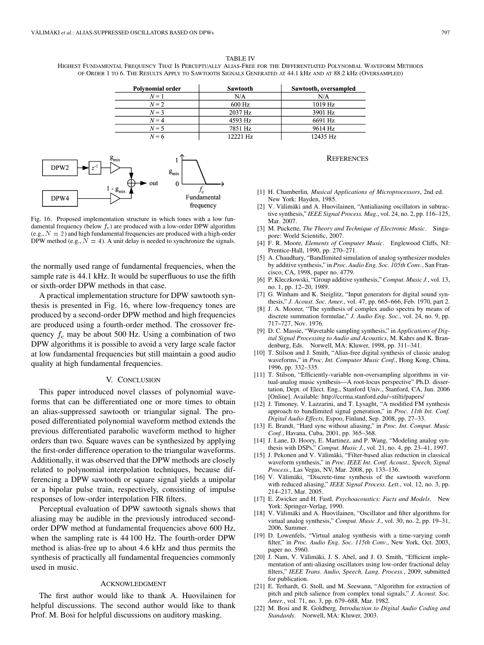TABLE IV HIGHEST FUNDAMENTAL FREQUENCY THAT IS PERCEPTUALLY ALIAS-FREE FOR THE DIFFERENTIATED POLYNOMIAL WAVEFORM METHODS OF ORDER 1 TO 6. THE RESULTS APPLY TO SAWTOOTH SIGNALS GENERATED AT 44.1 kHz AND AT 88.2 kHz (OVERSAMPLED)

| Polynomial order | Sawtooth | Sawtooth, oversampled |
|------------------|----------|-----------------------|
| $N=1$            | N/A      | N/A                   |
| $N=2$            | 600 Hz   | 1019 Hz               |
| $N=3$            | 2037 Hz  | 3901 Hz               |
| $N = 4$          | 4593 Hz  | 6691 Hz               |
| $N = 5$          | 7851 Hz  | 9614 Hz               |
| $N=6$            | 12221 Hz | 12435 Hz              |



Fig. 16. Proposed implementation structure in which tones with a low fundamental frequency (below  $f_c$ ) are produced with a low-order DPW algorithm (e.g.,  $N = 2$ ) and high fundamental frequencies are produced with a high-order DPW method (e.g.,  $\tilde{N} = 4$ ). A unit delay is needed to synchronize the signals.

the normally used range of fundamental frequencies, when the sample rate is 44.1 kHz. It would be superfluous to use the fifth or sixth-order DPW methods in that case.

A practical implementation structure for DPW sawtooth synthesis is presented in Fig. 16, where low-frequency tones are produced by a second-order DPW method and high frequencies are produced using a fourth-order method. The crossover frequency  $f_c$  may be about 500 Hz. Using a combination of two DPW algorithms it is possible to avoid a very large scale factor at low fundamental frequencies but still maintain a good audio quality at high fundamental frequencies.

### V. CONCLUSION

This paper introduced novel classes of polynomial waveforms that can be differentiated one or more times to obtain an alias-suppressed sawtooth or triangular signal. The proposed differentiated polynomial waveform method extends the previous differentiated parabolic waveform method to higher orders than two. Square waves can be synthesized by applying the first-order difference operation to the triangular waveforms. Additionally, it was observed that the DPW methods are closely related to polynomial interpolation techniques, because differencing a DPW sawtooth or square signal yields a unipolar or a bipolar pulse train, respectively, consisting of impulse responses of low-order interpolation FIR filters.

Perceptual evaluation of DPW sawtooth signals shows that aliasing may be audible in the previously introduced secondorder DPW method at fundamental frequencies above 600 Hz, when the sampling rate is 44 100 Hz. The fourth-order DPW method is alias-free up to about 4.6 kHz and thus permits the synthesis of practically all fundamental frequencies commonly used in music.

#### ACKNOWLEDGMENT

The first author would like to thank A. Huovilainen for helpful discussions. The second author would like to thank Prof. M. Bosi for helpful discussions on auditory masking.

#### **REFERENCES**

- [1] H. Chamberlin*, Musical Applications of Microprocessors*, 2nd ed. New York: Hayden, 1985.
- [2] V. Välimäki and A. Huovilainen, "Antialiasing oscillators in subtractive synthesis," *IEEE Signal Process. Mag.*, vol. 24, no. 2, pp. 116–125, Mar. 2007.
- [3] M. Puckette*, The Theory and Technique of Electronic Music*. Singapore: World Scientific, 2007.
- [4] F. R. Moore*, Elements of Computer Music*. Englewood Cliffs, NJ: Prentice-Hall, 1990, pp. 270–271.
- [5] A. Chaudhary, "Bandlimited simulation of analog synthesizer modules by additive synthesis," in *Proc. Audio Eng. Soc. 105th Conv.*, San Francisco, CA, 1998, paper no. 4779.
- [6] P. Kleczkowski, "Group additive synthesis," *Comput. Music J.*, vol. 13, no. 1, pp. 12–20, 1989.
- [7] G. Winham and K. Steiglitz, "Input generators for digital sound synthesis," *J. Acoust. Soc. Amer.*, vol. 47, pp. 665–666, Feb. 1970, part 2.
- [8] J. A. Moorer, "The synthesis of complex audio spectra by means of discrete summation formulae," *J. Audio Eng. Soc.*, vol. 24, no. 9, pp. 717–727, Nov. 1976.
- [9] D. C. Massie, "Wavetable sampling synthesis," in *Applications of Digital Signal Processing to Audio and Acoustics*, M. Kahrs and K. Brandenburg, Eds. Norwell, MA: Kluwer, 1998, pp. 311–341.
- [10] T. Stilson and J. Smith, "Alias-free digital synthesis of classic analog waveforms," in *Proc. Int. Computer Music Conf.*, Hong Kong, China, 1996, pp. 332–335.
- [11] T. Stilson, "Efficiently-variable non-oversampling algorithms in virtual-analog music synthesis—A root-locus perspective" Ph.D. dissertation, Dept. of Elect. Eng., Stanford Univ., Stanford, CA, Jun. 2006 [Online]. Available: http://ccrma.stanford.edu/~stilti/papers/
- [12] J. Timoney, V. Lazzarini, and T. Lysaght, "A modified FM synthesis approach to bandlimited signal generation," in *Proc. 11th Int. Conf. Digital Audio Effects*, Espoo, Finland, Sep. 2008, pp. 27–33.
- [13] E. Brandt, "Hard sync without aliasing," in *Proc. Int. Comput. Music Conf.*, Havana, Cuba, 2001, pp. 365–368.
- [14] J. Lane, D. Hoory, E. Martinez, and P. Wang, "Modeling analog synthesis with DSPs," *Comput. Music J.*, vol. 21, no. 4, pp. 23–41, 1997.
- [15] J. Pekonen and V. Välimäki, "Filter-based alias reduction in classical waveform synthesis," in *Proc. IEEE Int. Conf. Acoust., Speech, Signal Process.*, Las Vegas, NV, Mar. 2008, pp. 133–136.
- [16] V. Välimäki, "Discrete-time synthesis of the sawtooth waveform with reduced aliasing," *IEEE Signal Process. Lett.*, vol. 12, no. 3, pp. 214–217, Mar. 2005.
- [17] E. Zwicker and H. Fastl*, Psychoacoustics: Facts and Models*. New York: Springer-Verlag, 1990.
- [18] V. Välimäki and A. Huovilainen, "Oscillator and filter algorithms for virtual analog synthesis," *Comput. Music J.*, vol. 30, no. 2, pp. 19–31, 2006, Summer.
- [19] D. Lowenfels, "Virtual analog synthesis with a time-varying comb filter," in *Proc. Audio Eng. Soc. 115th Conv.*, New York, Oct. 2003, paper no. 5960.
- [20] J. Nam, V. Välimäki, J. S. Abel, and J. O. Smith, "Efficient implementation of anti-aliasing oscillators using low-order fractional delay filters," *IEEE Trans. Audio, Speech, Lang. Process.*, 2009, submitted for publication.
- [21] E. Terhardt, G. Stoll, and M. Seewann, "Algorithm for extraction of pitch and pitch salience from complex tonal signals," *J. Acoust. Soc. Amer.*, vol. 71, no. 3, pp. 679–688, Mar. 1982.
- [22] M. Bosi and R. Goldberg*, Introduction to Digital Audio Coding and Standards*. Norwell, MA: Kluwer, 2003.